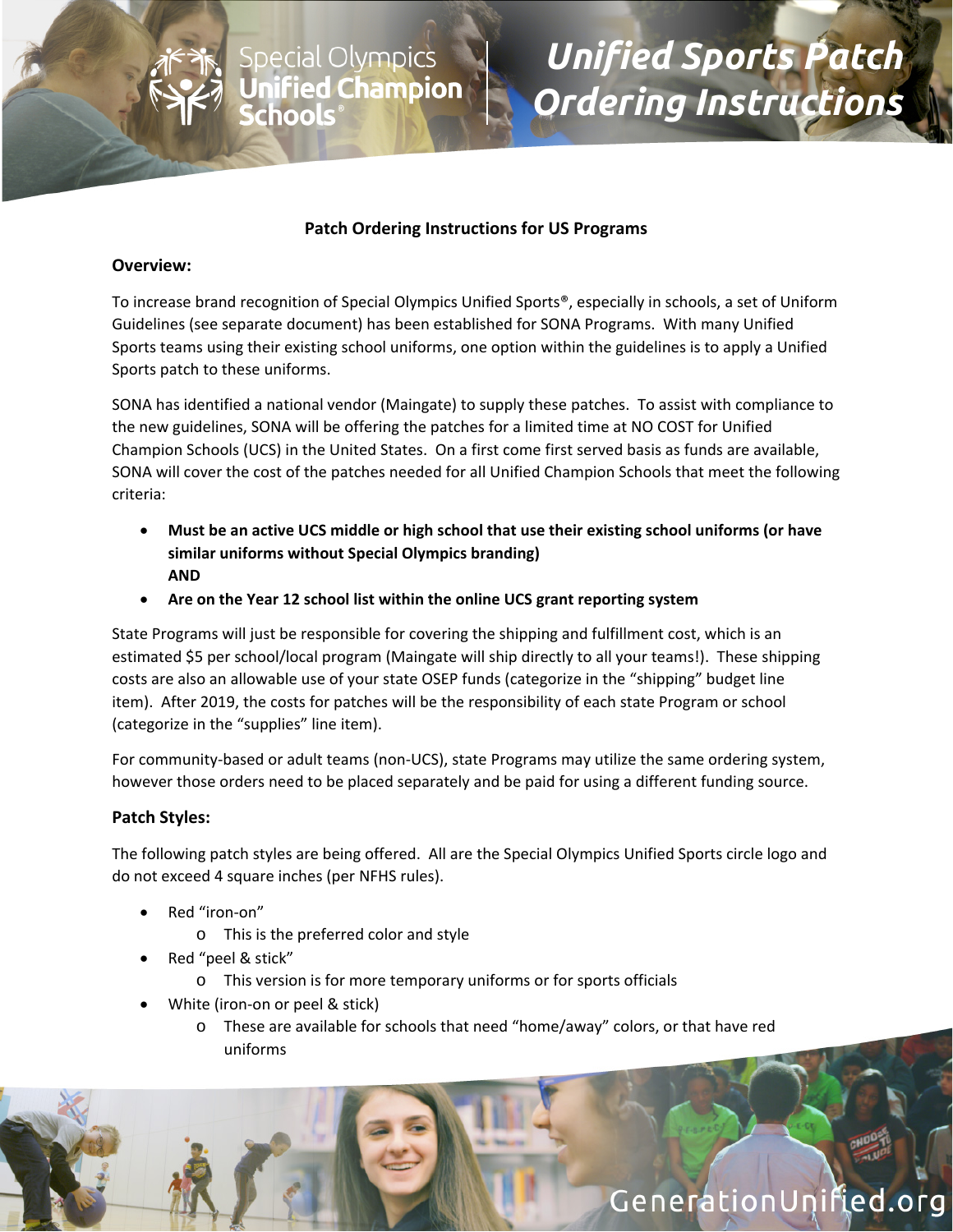

# *Unified Sports Patch Ordering Instructions*

### **Patch Ordering Instructions for US Programs**

Special Olympi<mark>cs</mark><br>**Unified Champion**<br>**Schools**。

#### **Overview:**

To increase brand recognition of Special Olympics Unified Sports®, especially in schools, a set of Uniform Guidelines (see separate document) has been established for SONA Programs. With many Unified Sports teams using their existing school uniforms, one option within the guidelines is to apply a Unified Sports patch to these uniforms.

SONA has identified a national vendor (Maingate) to supply these patches. To assist with compliance to the new guidelines, SONA will be offering the patches for a limited time at NO COST for Unified Champion Schools (UCS) in the United States. On a first come first served basis as funds are available, SONA will cover the cost of the patches needed for all Unified Champion Schools that meet the following criteria:

- **Must be an active UCS middle or high school that use their existing school uniforms (or have similar uniforms without Special Olympics branding) AND**
- **Are on the Year 12 school list within the online UCS grant reporting system**

State Programs will just be responsible for covering the shipping and fulfillment cost, which is an estimated \$5 per school/local program (Maingate will ship directly to all your teams!). These shipping costs are also an allowable use of your state OSEP funds (categorize in the "shipping" budget line item). After 2019, the costs for patches will be the responsibility of each state Program or school (categorize in the "supplies" line item).

For community-based or adult teams (non-UCS), state Programs may utilize the same ordering system, however those orders need to be placed separately and be paid for using a different funding source.

#### **Patch Styles:**

The following patch styles are being offered. All are the Special Olympics Unified Sports circle logo and do not exceed 4 square inches (per NFHS rules).

- Red "iron‐on"
	- o This is the preferred color and style
- Red "peel & stick"
	- o This version is for more temporary uniforms or for sports officials
- White (iron‐on or peel & stick)
	- o These are available for schools that need "home/away" colors, or that have red uniforms

# GenerationUnified.org